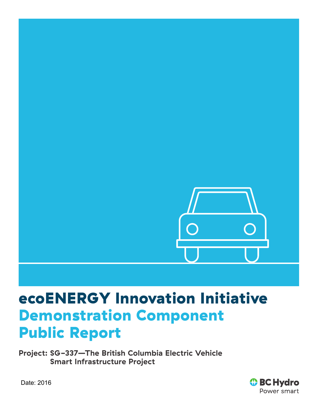

# ecoENERGY Innovation Initiative Demonstration Component Public Report

**Project: SG-337—The British Columbia Electric Vehicle Smart Infrastructure Project**



Date: 2016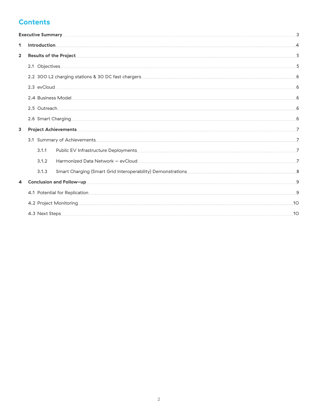# **Contents**

| Executive Summary 2008 and 2008 and 2008 and 2008 and 2008 and 2008 and 2008 and 2008 and 2008 and 2008 and 200 |       |                                                                                                                |  |
|-----------------------------------------------------------------------------------------------------------------|-------|----------------------------------------------------------------------------------------------------------------|--|
| 1                                                                                                               |       |                                                                                                                |  |
| $\overline{2}$                                                                                                  |       |                                                                                                                |  |
|                                                                                                                 |       |                                                                                                                |  |
|                                                                                                                 |       |                                                                                                                |  |
|                                                                                                                 |       |                                                                                                                |  |
|                                                                                                                 |       |                                                                                                                |  |
|                                                                                                                 |       |                                                                                                                |  |
|                                                                                                                 |       |                                                                                                                |  |
| $\overline{\mathbf{3}}$                                                                                         |       |                                                                                                                |  |
|                                                                                                                 |       |                                                                                                                |  |
|                                                                                                                 | 3.1.1 |                                                                                                                |  |
|                                                                                                                 | 3.1.2 | Harmonized Data Network - evCloud 77 / 2008 / 2008 / 2009 / 2010 / 2010 / 2010 / 2010 / 2010 / 2010 / 2010 / 2 |  |
|                                                                                                                 | 3.1.3 |                                                                                                                |  |
| $\blacktriangle$                                                                                                |       |                                                                                                                |  |
|                                                                                                                 |       |                                                                                                                |  |
|                                                                                                                 |       | 4.2 Project Monitoring 10                                                                                      |  |
|                                                                                                                 |       | 10                                                                                                             |  |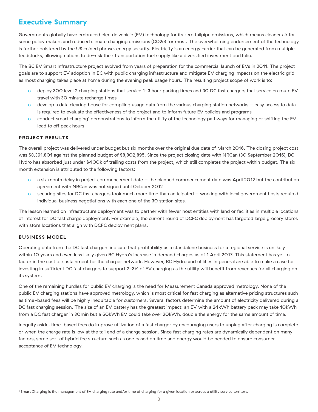# <span id="page-2-0"></span>**Executive Summary**

Governments globally have embraced electric vehicle (EV) technology for its zero tailpipe emissions, which means cleaner air for some policy makers and reduced climate changing emissions (CO2e) for most. The overwhelming endorsement of the technology is further bolstered by the US coined phrase, energy security. Electricity is an energy carrier that can be generated from multiple feedstocks, allowing nations to de-risk their transportation fuel supply like a diversified investment portfolio.

The BC EV Smart Infrastructure project evolved from years of preparation for the commercial launch of EVs in 2011. The project goals are to support EV adoption in BC with public charging infrastructure and mitigate EV charging impacts on the electric grid as most charging takes place at home during the evening peak usage hours. The resulting project scope of work is to:

- o deploy 300 level 2 charging stations that service 1-3 hour parking times and 30 DC fast chargers that service en route EV travel with 30 minute recharge times
- o develop a data clearing house for compiling usage data from the various charging station networks easy access to data is required to evaluate the effectiveness of the project and to inform future EV policies and programs
- $\circ$  conduct smart charging<sup>1</sup> demonstrations to inform the utility of the technology pathways for managing or shifting the EV load to off peak hours

# **PROJECT RESULTS**

The overall project was delivered under budget but six months over the original due date of March 2016. The closing project cost was \$8,391,801 against the planned budget of \$8,802,895. Since the project closing date with NRCan (30 September 2016), BC Hydro has absorbed just under \$400k of trailing costs from the project, which still completes the project within budget. The six month extension is attributed to the following factors:

- o a six month delay in project commencement date the planned commencement date was April 2012 but the contribution agreement with NRCan was not signed until October 2012
- o securing sites for DC fast chargers took much more time than anticipated working with local government hosts required individual business negotiations with each one of the 30 station sites.

The lesson learned on infrastructure deployment was to partner with fewer host entities with land or facilities in multiple locations of interest for DC fast charge deployment. For example, the current round of DCFC deployment has targeted large grocery stores with store locations that align with DCFC deployment plans.

# **BUSINESS MODEL**

Operating data from the DC fast chargers indicate that profitability as a standalone business for a regional service is unlikely within 10 years and even less likely given BC Hydro's increase in demand charges as of 1 April 2017. This statement has yet to factor in the cost of sustainment for the charger network. However, BC Hydro and utilities in general are able to make a case for investing in sufficient DC fast chargers to support 2-3% of EV charging as the utility will benefit from revenues for all charging on its system.

One of the remaining hurdles for public EV charging is the need for Measurement Canada approved metrology. None of the public EV charging stations have approved metrology, which is most critical for fast charging as alternative pricing structures such as time-based fees will be highly inequitable for customers. Several factors determine the amount of electricity delivered during a DC fast charging session. The size of an EV battery has the greatest impact: an EV with a 24kWh battery pack may take 10kWh from a DC fast charger in 30min but a 60kWh EV could take over 20kWh, double the energy for the same amount of time.

Inequity aside, time-based fees do improve utilization of a fast charger by encouraging users to unplug after charging is complete or when the charge rate is low at the tail end of a charge session. Since fast charging rates are dynamically dependent on many factors, some sort of hybrid fee structure such as one based on time and energy would be needed to ensure consumer acceptance of EV technology.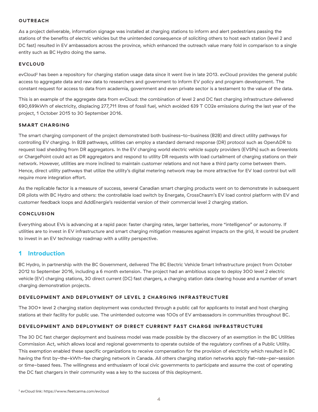#### <span id="page-3-0"></span>**OUTREACH**

As a project deliverable, information signage was installed at charging stations to inform and alert pedestrians passing the stations of the benefits of electric vehicles but the unintended consequence of soliciting others to host each station (level 2 and DC fast) resulted in EV ambassadors across the province, which enhanced the outreach value many fold in comparison to a single entity such as BC Hydro doing the same.

#### **EVCLOUD**

evCloud<sup>2</sup> has been a repository for charging station usage data since it went live in late 2013. evCloud provides the general public access to aggregate data and raw data to researchers and government to inform EV policy and program development. The constant request for access to data from academia, government and even private sector is a testament to the value of the data.

This is an example of the aggregate data from evCloud: the combination of level 2 and DC fast charging infrastructure delivered 690,699kWh of electricity, displacing 277,711 litres of fossil fuel, which avoided 639 T CO2e emissions during the last year of the project, 1 October 2015 to 30 September 2016.

#### **SMART CHARGING**

The smart charging component of the project demonstrated both business-to-business (B2B) and direct utility pathways for controlling EV charging. In B2B pathways, utilities can employ a standard demand response (DR) protocol such as OpenADR to request load shedding from DR aggregators. In the EV charging world electric vehicle supply providers (EVSPs) such as Greenlots or ChargePoint could act as DR aggregators and respond to utility DR requests with load curtailment of charging stations on their network. However, utilities are more inclined to maintain customer relations and not have a third party come between them. Hence, direct utility pathways that utilize the utility's digital metering network may be more attractive for EV load control but will require more integration effort.

As the replicable factor is a measure of success, several Canadian smart charging products went on to demonstrate in subsequent DR pilots with BC Hydro and others: the controllable load switch by Energate, CrossChasm's EV load control platform with EV and customer feedback loops and AddEnergie's residential version of their commercial level 2 charging station.

#### **CONCLUSION**

Everything about EVs is advancing at a rapid pace: faster charging rates, larger batteries, more "intelligence" or autonomy. If utilities are to invest in EV infrastructure and smart charging mitigation measures against impacts on the grid, it would be prudent to invest in an EV technology roadmap with a utility perspective.

# **1 Introduction**

BC Hydro, in partnership with the BC Government, delivered The BC Electric Vehicle Smart Infrastructure project from October 2012 to September 2016, including a 6 month extension. The project had an ambitious scope to deploy 300 level 2 electric vehicle (EV) charging stations, 30 direct current (DC) fast chargers, a charging station data clearing house and a number of smart charging demonstration projects.

#### **DEVELOPMENT AND DEPLOYMENT OF LEVEL 2 CHARGING INFRASTRUCTURE**

The 300+ level 2 charging station deployment was conducted through a public call for applicants to install and host charging stations at their facility for public use. The unintended outcome was 100s of EV ambassadors in communities throughout BC.

# **DEVELOPMENT AND DEPLOYMENT OF DIRECT CURRENT FAST CHARGE INFRASTRUCTURE**

The 30 DC fast charger deployment and business model was made possible by the discovery of an exemption in the BC Utilities Commission Act, which allows local and regional governments to operate outside of the regulatory confines of a Public Utility. This exemption enabled these specific organizations to receive compensation for the provision of electricity which resulted in BC having the first by-the-kWh-fee charging network in Canada. All others charging station networks apply flat-rate-per-session or time-based fees. The willingness and enthusiasm of local civic governments to participate and assume the cost of operating the DC fast chargers in their community was a key to the success of this deployment.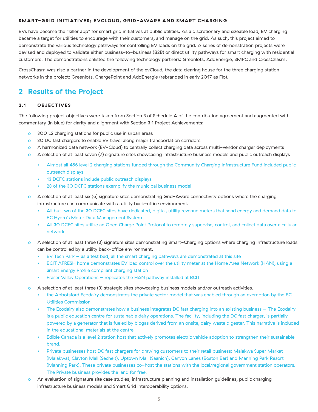#### <span id="page-4-0"></span>**SMART-GRID INITIATIVES; EVCLOUD, GRID-AWARE AND SMART CHARGING**

EVs have become the "killer app" for smart grid initiatives at public utilities. As a discretionary and sizeable load, EV charging became a target for utilities to encourage with their customers, and manage on the grid. As such, this project aimed to demonstrate the various technology pathways for controlling EV loads on the grid. A series of demonstration projects were devised and deployed to validate either business-to-business (B2B) or direct utility pathways for smart charging with residential customers. The demonstrations enlisted the following technology partners: Greenlots, AddEnergie, SMPC and CrossChasm.

CrossChasm was also a partner in the development of the evCloud, the data clearing house for the three charging station networks in the project: Greenlots, ChargePoint and AddEnergie (rebranded in early 2017 as Flo).

# **2 Results of the Project**

## **2.1 OBJECTIVES**

The following project objectives were taken from Section 3 of Schedule A of the contribution agreement and augmented with commentary (in blue) for clarity and alignment with Section 3.1 Project Achievements:

- o 300 L2 charging stations for public use in urban areas
- o 30 DC fast chargers to enable EV travel along major transportation corridors
- o A harmonized data network (EV-Cloud) to centrally collect charging data across multi-vendor charger deployments
- o A selection of at least seven (7) signature sites showcasing infrastructure business models and public outreach displays
	- Almost all 456 level 2 charging stations funded through the Community Charging Infrastructure Fund included public outreach displays
	- 13 DCFC stations include public outreach displays
	- 28 of the 30 DCFC stations exemplify the municipal business model
- o A selection of at least six (6) signature sites demonstrating Grid-Aware connectivity options where the charging infrastructure can communicate with a utility back-office environment.
	- All but two of the 30 DCFC sites have dedicated, digital, utility revenue meters that send energy and demand data to BC Hydro's Meter Data Management System
	- All 30 DCFC sites utilize an Open Charge Point Protocol to remotely supervise, control, and collect data over a cellular network
- o A selection of at least three (3) signature sites demonstrating Smart-Charging options where charging infrastructure loads can be controlled by a utility back-office environment.
	- $E$ V Tech Park  $-$  as a test bed, all the smart charging pathways are demonstrated at this site
	- BCIT AFRESH home demonstrates EV load control over the utility meter at the Home Area Network (HAN), using a Smart Energy Profile compliant charging station
	- Fraser Valley Operations replicates the HAN pathway installed at BCIT
- o A selection of at least three (3) strategic sites showcasing business models and/or outreach activities.
	- the Abbotsford Ecodairy demonstrates the private sector model that was enabled through an exemption by the BC Utilities Commission
	- The Ecodairy also demonstrates how a business integrates DC fast charging into an existing business The Ecodairy is a public education centre for sustainable dairy operations. The facility, including the DC fast charger, is partially powered by a generator that is fueled by biogas derived from an onsite, dairy waste digester. This narrative is included in the educational materials at the centre.
	- Edible Canada is a level 2 station host that actively promotes electric vehicle adoption to strengthen their sustainable brand.
	- Private businesses host DC fast chargers for drawing customers to their retail business: Malakwa Super Market (Malakwa), Clayton Mall (Sechelt), Uptown Mall (Saanich), Canyon Lanes (Boston Bar) and Manning Park Resort (Manning Park). These private businesses co-host the stations with the local/regional government station operators. The Private business provides the land for free.
- o An evaluation of signature site case studies, infrastructure planning and installation guidelines, public charging infrastructure business models and Smart Grid interoperability options.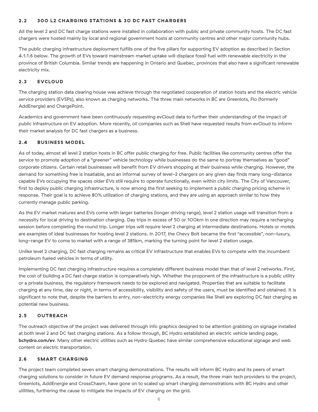# <span id="page-5-0"></span>**2.2 300 L2 CHARGING STATIONS & 30 DC FAST CHARGERS**

All the level 2 and DC fast charge stations were installed in collaboration with public and private community hosts. The DC fast chargers were hosted mainly by local and regional government hosts at community centres and other major community hubs.

The public charging infrastructure deployment fulfills one of the five pillars for supporting EV adoption as described in Section 4.1.1.6 below. The growth of EVs toward mainstream market uptake will displace fossil fuel with renewable electricity in the province of British Columbia. Similar trends are happening in Ontario and Quebec, provinces that also have a significant renewable electricity mix.

# **2.3 EVCLOUD**

The charging station data clearing house was achieve through the negotiated cooperation of station hosts and the electric vehicle service providers (EVSPs), also known as charging networks. The three main networks in BC are Greenlots, Flo (formerly AddEnergie) and ChargePoint.

Academics and government have been continuously requesting evCloud data to further their understanding of the impact of public infrastructure on EV adoption. More recently, oil companies such as Shell have requested results from evCloud to inform their market analysis for DC fast chargers as a business.

## **2.4 BUSINESS MODEL**

As of today, almost all level 2 station hosts in BC offer public charging for free. Public facilities like community centres offer the service to promote adoption of a "greener" vehicle technology while businesses do the same to portray themselves as "good" corporate citizens. Certain retail businesses will benefit from EV drivers shopping at their business while charging. However, the demand for something free is insatiable, and an informal survey of level-2 chargers on any given day finds many long-distance capable EVs occupying the spaces older EVs still require to operate functionally, even within city limits. The City of Vancouver, first to deploy public charging infrastructure, is now among the first seeking to implement a public charging pricing scheme in response. Their goal is to achieve 80% utilization of charging stations, and they are using an approach similar to how they currently manage public parking.

As the EV market matures and EVs come with larger batteries (longer driving range), level 2 station usage will transition from a necessity for local driving to destination charging. Day trips in excess of 50 or 100km in one direction may require a recharging session before completing the round trip. Longer trips will require level 2 charging at intermediate destinations. Hotels or motels are examples of ideal businesses for hosting level 2 stations. In 2017, the Chevy Bolt became the first "accessible", non-luxury, long-range EV to come to market with a range of 385km, marking the turning point for level 2 station usage.

Unlike level 2 charging, DC fast charging remains as critical EV infrastructure that enables EVs to compete with the incumbent petroleum fueled vehicles in terms of utility.

Implementing DC fast charging infrastructure requires a completely different business model than that of level 2 networks. First, the cost of building a DC fast charge station is comparatively high. Whether the proponent of the infrastructure is a public utility or a private business, the regulatory framework needs to be explored and navigated. Properties that are suitable to facilitate charging at any time, day or night, in terms of accessibility, visibility and safety of the users, must be identified and obtained. It is significant to note that, despite the barriers to entry, non-electricity energy companies like Shell are exploring DC fast charging as potential new business.

## **2.5 OUTREACH**

The outreach objective of the project was delivered through info graphics designed to be attention grabbing on signage installed at both level 2 and DC fast charging stations. As a follow through, BC Hydro established an electric vehicle landing page, **[bchydro.com/ev](http://bchydro.com/ev)**. Many other electric utilities such as Hydro Quebec have similar comprehensive educational signage and web content on electric transportation.

## **2.6 SMART CHARGING**

The project team completed seven smart charging demonstrations. The results will inform BC Hydro and its peers of smart charging solutions to consider in future EV demand response programs. As a result, the three main tech providers to the project, Greenlots, AddEnergie and CrossChasm, have gone on to scaled up smart charging demonstrations with BC Hydro and other utilities, furthering the cause to mitigate the impacts of EV charging on the grid.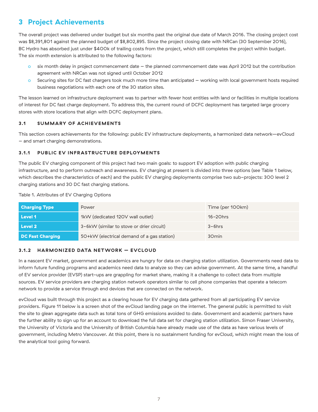# <span id="page-6-0"></span>**3 Project Achievements**

The overall project was delivered under budget but six months past the original due date of March 2016. The closing project cost was \$8,391,801 against the planned budget of \$8,802,895. Since the project closing date with NRCan (30 September 2016), BC Hydro has absorbed just under \$400k of trailing costs from the project, which still completes the project within budget. The six month extension is attributed to the following factors:

- o six month delay in project commencement date the planned commencement date was April 2012 but the contribution agreement with NRCan was not signed until October 2012
- o Securing sites for DC fast chargers took much more time than anticipated working with local government hosts required business negotiations with each one of the 30 station sites.

The lesson learned on infrastructure deployment was to partner with fewer host entities with land or facilities in multiple locations of interest for DC fast charge deployment. To address this, the current round of DCFC deployment has targeted large grocery stores with store locations that align with DCFC deployment plans.

# **3.1 SUMMARY OF ACHIEVEMENTS**

This section covers achievements for the following: public EV infrastructure deployments, a harmonized data network—evCloud – and smart charging demonstrations.

# **3.1.1 PUBLIC EV INFRASTRUCTURE DEPLOYMENTS**

The public EV charging component of this project had two main goals: to support EV adoption with public charging infrastructure, and to perform outreach and awareness. EV charging at present is divided into three options (see Table 1 below, which describes the characteristics of each) and the public EV charging deployments comprise two sub-projects: 300 level 2 charging stations and 30 DC fast charging stations.

#### Table 1. Attributes of EV Charging Options

| <b>Charging Type</b> | Power                                      | Time (per 100km)  |
|----------------------|--------------------------------------------|-------------------|
| Level 1              | 1kW (dedicated 120V wall outlet)           | $16 - 20$ hrs     |
| Level 2              | 3-6kW (similar to stove or drier circuit)  | $3-6$ hrs         |
| DC Fast Charging     | 5O+kW (electrical demand of a gas station) | 30 <sub>min</sub> |

## **3.1.2 HARMONIZED DATA NETWORK – EVCLOUD**

In a nascent EV market, government and academics are hungry for data on charging station utilization. Governments need data to inform future funding programs and academics need data to analyze so they can advise government. At the same time, a handful of EV service provider (EVSP) start-ups are grappling for market share, making it a challenge to collect data from multiple sources. EV service providers are charging station network operators similar to cell phone companies that operate a telecom network to provide a service through end devices that are connected on the network.

evCloud was built through this project as a clearing house for EV charging data gathered from all participating EV service providers. Figure 11 below is a screen shot of the evCloud landing page on the internet. The general public is permitted to visit the site to glean aggregate data such as total tons of GHG emissions avoided to date. Government and academic partners have the further ability to sign up for an account to download the full data set for charging station utilization. Simon Fraser University, the University of Victoria and the University of British Columbia have already made use of the data as have various levels of government, including Metro Vancouver. At this point, there is no sustainment funding for evCloud, which might mean the loss of the analytical tool going forward.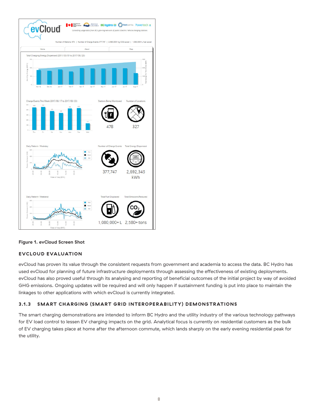<span id="page-7-0"></span>

## **Figure 1. evCloud Screen Shot**

## **EVCLOUD EVALUATION**

evCloud has proven its value through the consistent requests from government and academia to access the data. BC Hydro has used evCloud for planning of future infrastructure deployments through assessing the effectiveness of existing deployments. evCloud has also proved useful through its analysing and reporting of beneficial outcomes of the initial project by way of avoided GHG emissions. Ongoing updates will be required and will only happen if sustainment funding is put into place to maintain the linkages to other applications with which evCloud is currently integrated.

## **3.1.3 SMART CHARGING (SMART GRID INTEROPERABILITY) DEMONSTRATIONS**

The smart charging demonstrations are intended to inform BC Hydro and the utility industry of the various technology pathways for EV load control to lessen EV charging impacts on the grid. Analytical focus is currently on residential customers as the bulk of EV charging takes place at home after the afternoon commute, which lands sharply on the early evening residential peak for the utility.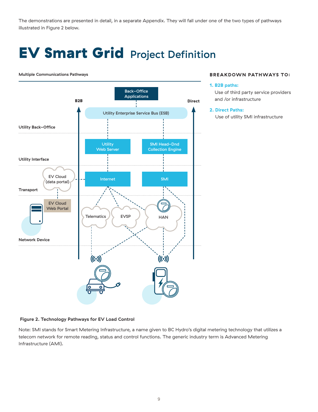<span id="page-8-0"></span>The demonstrations are presented in detail, in a separate Appendix. They will fall under one of the two types of pathways illustrated in Figure 2 below.

# EV Smart GridProject Definition

#### **Multiple Communications Pathways**



# **BREAKDOWN PATHWAYS TO:**

#### **1. B2B paths:**

Use of third party service providers and /or infrastructure

#### **2. Direct Paths:**

Use of utility SMI infrastructure

#### **Figure 2. Technology Pathways for EV Load Control**

Note: SMI stands for Smart Metering Infrastructure, a name given to BC Hydro's digital metering technology that utilizes a telecom network for remote reading, status and control functions. The generic industry term is Advanced Metering Infrastructure (AMI).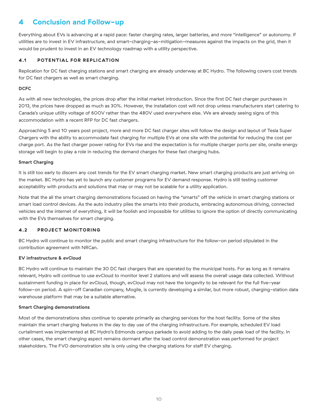# <span id="page-9-0"></span>**4 Conclusion and Follow-up**

Everything about EVs is advancing at a rapid pace: faster charging rates, larger batteries, and more "intelligence" or autonomy. If utilities are to invest in EV infrastructure, and smart-charging-as-mitigation-measures against the impacts on the grid, then it would be prudent to invest in an EV technology roadmap with a utility perspective.

# **4.1 POTENTIAL FOR REPLICATION**

Replication for DC fast charging stations and smart charging are already underway at BC Hydro. The following covers cost trends for DC fast chargers as well as smart charging.

## **DCFC**

As with all new technologies, the prices drop after the initial market introduction. Since the first DC fast charger purchases in 2013, the prices have dropped as much as 30%. However, the installation cost will not drop unless manufacturers start catering to Canada's unique utility voltage of 600V rather than the 480V used everywhere else. We are already seeing signs of this accommodation with a recent RFP for DC fast chargers.

Approaching 5 and 10 years post project, more and more DC fast charger sites will follow the design and layout of Tesla Super Chargers with the ability to accommodate fast charging for multiple EVs at one site with the potential for reducing the cost per charge port. As the fast charger power rating for EVs rise and the expectation is for multiple charger ports per site, onsite energy storage will begin to play a role in reducing the demand charges for these fast charging hubs.

#### **Smart Charging**

It is still too early to discern any cost trends for the EV smart charging market. New smart charging products are just arriving on the market. BC Hydro has yet to launch any customer programs for EV demand response. Hydro is still testing customer acceptability with products and solutions that may or may not be scalable for a utility application.

Note that the all the smart charging demonstrations focused on having the "smarts" off the vehicle in smart charging stations or smart load control devices. As the auto industry piles the smarts into their products, embracing autonomous driving, connected vehicles and the internet of everything, it will be foolish and impossible for utilities to ignore the option of directly communicating with the EVs themselves for smart charging.

## **4.2 PROJECT MONITORING**

BC Hydro will continue to monitor the public and smart charging infrastructure for the follow-on period stipulated in the contribution agreement with NRCan.

## **EV infrastructure & evCloud**

BC Hydro will continue to maintain the 30 DC fast chargers that are operated by the municipal hosts. For as long as it remains relevant, Hydro will continue to use evCloud to monitor level 2 stations and will assess the overall usage data collected. Without sustainment funding in place for evCloud, though, evCloud may not have the longevity to be relevant for the full five-year follow-on period. A spin-off Canadian company, Mogile, is currently developing a similar, but more robust, charging-station data warehouse platform that may be a suitable alternative.

#### **Smart Charging demonstrations**

Most of the demonstrations sites continue to operate primarily as charging services for the host facility. Some of the sites maintain the smart charging features in the day to day use of the charging infrastructure. For example, scheduled EV load curtailment was implemented at BC Hydro's Edmonds campus parkade to avoid adding to the daily peak load of the facility. In other cases, the smart charging aspect remains dormant after the load control demonstration was performed for project stakeholders. The FVO demonstration site is only using the charging stations for staff EV charging.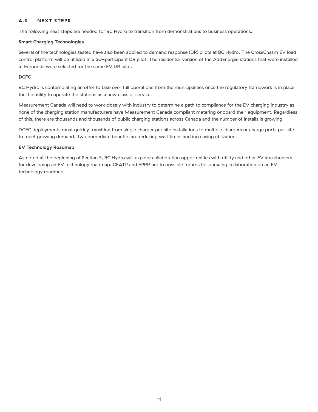# **4.3 NEXT STEPS**

The following next steps are needed for BC Hydro to transition from demonstrations to business operations.

#### **Smart Charging Technologies**

Several of the technologies tested have also been applied to demand response (DR) pilots at BC Hydro. The CrossChasm EV load control platform will be utilized in a 50-participant DR pilot. The residential version of the AddEnergie stations that were installed at Edmonds were selected for the same EV DR pilot.

#### **DCFC**

BC Hydro is contemplating an offer to take over full operations from the municipalities once the regulatory framework is in place for the utility to operate the stations as a new class of service.

Measurement Canada will need to work closely with industry to determine a path to compliance for the EV charging industry as none of the charging station manufacturers have Measurement Canada compliant metering onboard their equipment. Regardless of this, there are thousands and thousands of public charging stations across Canada and the number of installs is growing.

DCFC deployments must quickly transition from single charger per site installations to multiple chargers or charge ports per site to meet growing demand. Two immediate benefits are reducing wait times and increasing utilization.

## **EV Technology Roadmap**

As noted at the beginning of Section 5, BC Hydro will explore collaboration opportunities with utility and other EV stakeholders for developing an EV technology roadmap. CEATI<sup>3</sup> and EPRI<sup>4</sup> are to possible forums for pursuing collaboration on an EV technology roadmap.